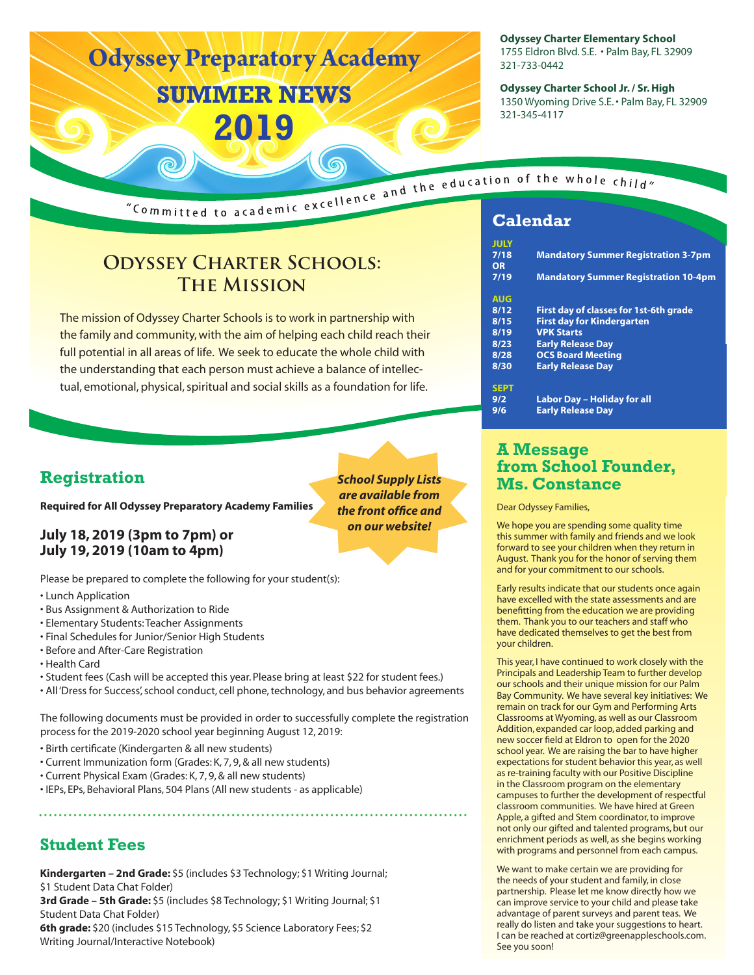# **Odyssey Preparatory Academy SUMMER NEWS 2019**

**Odyssey Charter Elementary School** 1755 Eldron Blvd. S.E. • Palm Bay, FL 32909 321-733-0442

**Odyssey Charter School Jr. / Sr. High** 1350 Wyoming Drive S.E. • Palm Bay, FL 32909 321-345-4117

"Committed to academic excellence and the education of the whole child"

## **Odyssey Charter Schools: The Mission**

The mission of Odyssey Charter Schools is to work in partnership with the family and community, with the aim of helping each child reach their full potential in all areas of life. We seek to educate the whole child with the understanding that each person must achieve a balance of intellectual, emotional, physical, spiritual and social skills as a foundation for life.

### **Registration**

**Required for All Odyssey Preparatory Academy Families**

### **July 18, 2019 (3pm to 7pm) or July 19, 2019 (10am to 4pm)**

Please be prepared to complete the following for your student(s):

- Lunch Application
- Bus Assignment & Authorization to Ride
- Elementary Students: Teacher Assignments
- Final Schedules for Junior/Senior High Students
- Before and After-Care Registration
- Health Card
- Student fees (Cash will be accepted this year. Please bring at least \$22 for student fees.)
- All 'Dress for Success', school conduct, cell phone, technology, and bus behavior agreements

The following documents must be provided in order to successfully complete the registration process for the 2019-2020 school year beginning August 12, 2019:

- Birth certificate (Kindergarten & all new students)
- Current Immunization form (Grades: K, 7, 9, & all new students)
- Current Physical Exam (Grades: K, 7, 9, & all new students)
- IEPs, EPs, Behavioral Plans, 504 Plans (All new students as applicable)

### **Student Fees**

**Kindergarten – 2nd Grade:** \$5 (includes \$3 Technology; \$1 Writing Journal; \$1 Student Data Chat Folder) **3rd Grade – 5th Grade:** \$5 (includes \$8 Technology; \$1 Writing Journal; \$1 Student Data Chat Folder) **6th grade:** \$20 (includes \$15 Technology, \$5 Science Laboratory Fees; \$2 Writing Journal/Interactive Notebook)

| <b>JULY</b> |                                             |
|-------------|---------------------------------------------|
| 7/18        | <b>Mandatory Summer Registration 3-7pm</b>  |
| OR          |                                             |
| 7/19        | <b>Mandatory Summer Registration 10-4pm</b> |
|             |                                             |
| <b>AUG</b>  |                                             |
| 8/12        | First day of classes for 1st-6th grade      |
| 8/15        | <b>First day for Kindergarten</b>           |
| 8/19        | <b>VPK Starts</b>                           |
| 8/23        | <b>Early Release Day</b>                    |
| 8/28        | <b>OCS Board Meeting</b>                    |
| 8/30        | <b>Early Release Day</b>                    |
|             |                                             |
| <b>SEPT</b> |                                             |
| 9/2         | Labor Day - Holiday for all                 |
| 9/6         | <b>Early Release Day</b>                    |
|             |                                             |

### **A Message from School Founder, Ms. Constance**

Dear Odyssey Families,

We hope you are spending some quality time this summer with family and friends and we look forward to see your children when they return in August. Thank you for the honor of serving them and for your commitment to our schools.

Early results indicate that our students once again have excelled with the state assessments and are benefitting from the education we are providing them. Thank you to our teachers and staff who have dedicated themselves to get the best from your children.

This year, I have continued to work closely with the Principals and Leadership Team to further develop our schools and their unique mission for our Palm Bay Community. We have several key initiatives: We remain on track for our Gym and Performing Arts Classrooms at Wyoming, as well as our Classroom Addition, expanded car loop, added parking and new soccer field at Eldron to open for the 2020 school year. We are raising the bar to have higher expectations for student behavior this year, as well as re-training faculty with our Positive Discipline in the Classroom program on the elementary campuses to further the development of respectful classroom communities. We have hired at Green Apple, a gifted and Stem coordinator, to improve not only our gifted and talented programs, but our enrichment periods as well, as she begins working with programs and personnel from each campus.

We want to make certain we are providing for the needs of your student and family, in close partnership. Please let me know directly how we can improve service to your child and please take advantage of parent surveys and parent teas. We really do listen and take your suggestions to heart. I can be reached at cortiz@greenappleschools.com. See you soon!

*School Supply Lists are available from the front office and on our website!*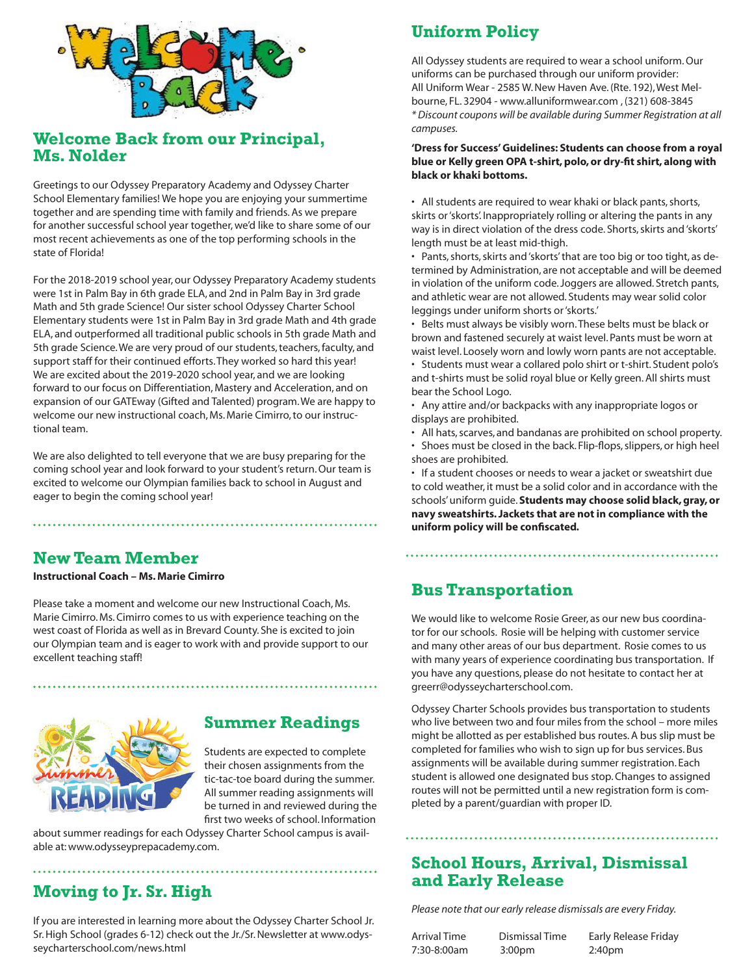

### **Welcome Back from our Principal, Ms. Nolder**

Greetings to our Odyssey Preparatory Academy and Odyssey Charter School Elementary families! We hope you are enjoying your summertime together and are spending time with family and friends. As we prepare for another successful school year together, we'd like to share some of our most recent achievements as one of the top performing schools in the state of Florida!

For the 2018-2019 school year, our Odyssey Preparatory Academy students were 1st in Palm Bay in 6th grade ELA, and 2nd in Palm Bay in 3rd grade Math and 5th grade Science! Our sister school Odyssey Charter School Elementary students were 1st in Palm Bay in 3rd grade Math and 4th grade ELA, and outperformed all traditional public schools in 5th grade Math and 5th grade Science. We are very proud of our students, teachers, faculty, and support staff for their continued efforts. They worked so hard this year! We are excited about the 2019-2020 school year, and we are looking forward to our focus on Differentiation, Mastery and Acceleration, and on expansion of our GATEway (Gifted and Talented) program. We are happy to welcome our new instructional coach, Ms. Marie Cimirro, to our instructional team.

We are also delighted to tell everyone that we are busy preparing for the coming school year and look forward to your student's return. Our team is excited to welcome our Olympian families back to school in August and eager to begin the coming school year!

### **New Team Member**

#### **Instructional Coach – Ms. Marie Cimirro**

Please take a moment and welcome our new Instructional Coach, Ms. Marie Cimirro. Ms. Cimirro comes to us with experience teaching on the west coast of Florida as well as in Brevard County. She is excited to join our Olympian team and is eager to work with and provide support to our excellent teaching staff!



### **Summer Readings**

Students are expected to complete their chosen assignments from the tic-tac-toe board during the summer. All summer reading assignments will be turned in and reviewed during the first two weeks of school. Information

about summer readings for each Odyssey Charter School campus is available at: www.odysseyprepacademy.com.

### **Moving to Jr. Sr. High**

If you are interested in learning more about the Odyssey Charter School Jr. Sr. High School (grades 6-12) check out the Jr./Sr. Newsletter at www.odysseycharterschool.com/news.html

### **Uniform Policy**

All Odyssey students are required to wear a school uniform. Our uniforms can be purchased through our uniform provider: All Uniform Wear - 2585 W. New Haven Ave. (Rte. 192), West Melbourne, FL. 32904 - www.alluniformwear.com , (321) 608-3845 *\* Discount coupons will be available during Summer Registration at all campuses.* 

#### **'Dress for Success' Guidelines: Students can choose from a royal blue or Kelly green OPA t-shirt, polo, or dry-fit shirt, along with black or khaki bottoms.**

• All students are required to wear khaki or black pants, shorts, skirts or 'skorts'. Inappropriately rolling or altering the pants in any way is in direct violation of the dress code. Shorts, skirts and 'skorts' length must be at least mid-thigh.

• Pants, shorts, skirts and 'skorts' that are too big or too tight, as determined by Administration, are not acceptable and will be deemed in violation of the uniform code. Joggers are allowed. Stretch pants, and athletic wear are not allowed. Students may wear solid color leggings under uniform shorts or 'skorts.'

• Belts must always be visibly worn. These belts must be black or brown and fastened securely at waist level. Pants must be worn at waist level. Loosely worn and lowly worn pants are not acceptable.

• Students must wear a collared polo shirt or t-shirt. Student polo's and t-shirts must be solid royal blue or Kelly green. All shirts must bear the School Logo.

• Any attire and/or backpacks with any inappropriate logos or displays are prohibited.

- All hats, scarves, and bandanas are prohibited on school property.
- Shoes must be closed in the back. Flip-flops, slippers, or high heel shoes are prohibited.

• If a student chooses or needs to wear a jacket or sweatshirt due to cold weather, it must be a solid color and in accordance with the schools' uniform guide. **Students may choose solid black, gray, or navy sweatshirts. Jackets that are not in compliance with the uniform policy will be confiscated.** 

### **Bus Transportation**

We would like to welcome Rosie Greer, as our new bus coordinator for our schools. Rosie will be helping with customer service and many other areas of our bus department. Rosie comes to us with many years of experience coordinating bus transportation. If you have any questions, please do not hesitate to contact her at greerr@odysseycharterschool.com.

Odyssey Charter Schools provides bus transportation to students who live between two and four miles from the school – more miles might be allotted as per established bus routes. A bus slip must be completed for families who wish to sign up for bus services. Bus assignments will be available during summer registration. Each student is allowed one designated bus stop. Changes to assigned routes will not be permitted until a new registration form is completed by a parent/guardian with proper ID.

### **School Hours, Arrival, Dismissal and Early Release**

*Please note that our early release dismissals are every Friday.* 

7:30-8:00am 3:00pm 2:40pm

Arrival Time Dismissal Time Early Release Friday